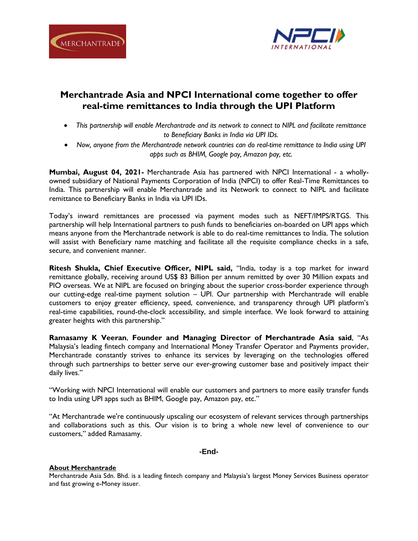



# **Merchantrade Asia and NPCI International come together to offer real-time remittances to India through the UPI Platform**

- *This partnership will enable Merchantrade and its network to connect to NIPL and facilitate remittance to Beneficiary Banks in India via UPI IDs.*
- *Now, anyone from the Merchantrade network countries can do real-time remittance to India using UPI apps such as BHIM, Google pay, Amazon pay, etc.*

**Mumbai, August 04, 2021-** Merchantrade Asia has partnered with NPCI International - a whollyowned subsidiary of National Payments Corporation of India (NPCI) to offer Real-Time Remittances to India. This partnership will enable Merchantrade and its Network to connect to NIPL and facilitate remittance to Beneficiary Banks in India via UPI IDs.

Today's inward remittances are processed via payment modes such as NEFT/IMPS/RTGS. This partnership will help International partners to push funds to beneficiaries on-boarded on UPI apps which means anyone from the Merchantrade network is able to do real-time remittances to India. The solution will assist with Beneficiary name matching and facilitate all the requisite compliance checks in a safe, secure, and convenient manner.

**Ritesh Shukla, Chief Executive Officer, NIPL said,** "India, today is a top market for inward remittance globally, receiving around US\$ 83 Billion per annum remitted by over 30 Million expats and PIO overseas. We at NIPL are focused on bringing about the superior cross-border experience through our cutting-edge real-time payment solution – UPI. Our partnership with Merchantrade will enable customers to enjoy greater efficiency, speed, convenience, and transparency through UPI platform's real-time capabilities, round-the-clock accessibility, and simple interface. We look forward to attaining greater heights with this partnership."

**Ramasamy K Veeran**, **Founder and Managing Director of Merchantrade Asia said**, "As Malaysia's leading fintech company and International Money Transfer Operator and Payments provider, Merchantrade constantly strives to enhance its services by leveraging on the technologies offered through such partnerships to better serve our ever-growing customer base and positively impact their daily lives."

"Working with NPCI International will enable our customers and partners to more easily transfer funds to India using UPI apps such as BHIM, Google pay, Amazon pay, etc."

"At Merchantrade we're continuously upscaling our ecosystem of relevant services through partnerships and collaborations such as this. Our vision is to bring a whole new level of convenience to our customers," added Ramasamy.

## **-End-**

## **About Merchantrade**

Merchantrade Asia Sdn. Bhd. is a leading fintech company and Malaysia's largest Money Services Business operator and fast growing e-Money issuer.